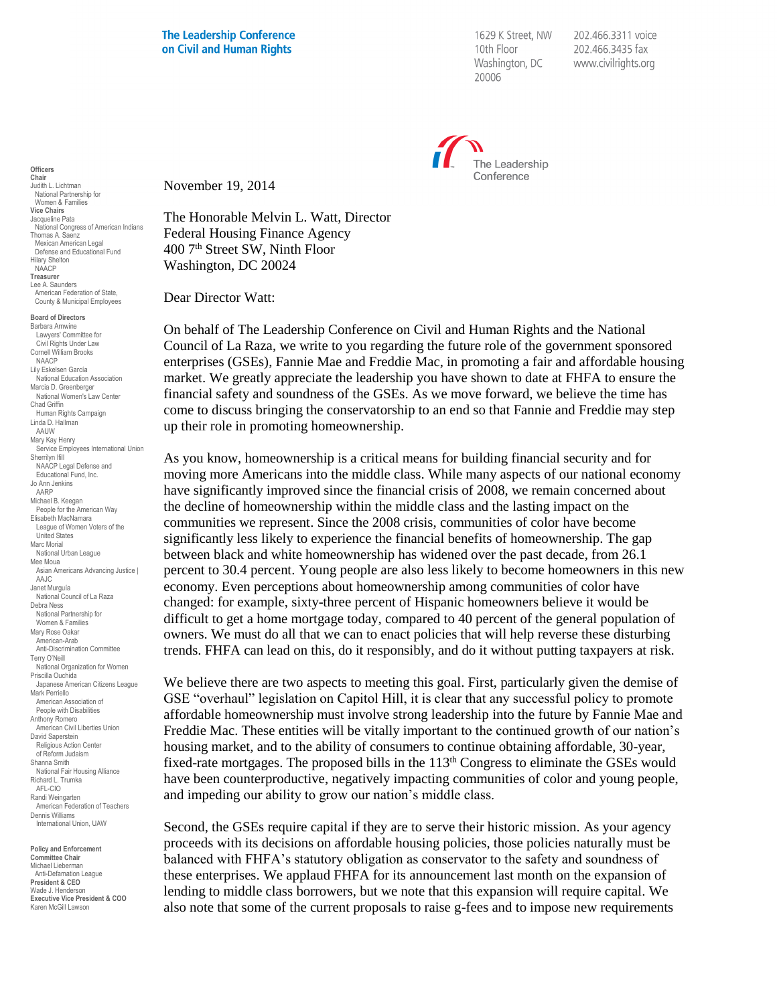**The Leadership Conference** on Civil and Human Rights

1629 K Street, NW 10th Floor Washington, DC 20006

202.466.3311 voice 202.466.3435 fax www.civilrights.org



**Officers Chair** Judith L. Lichtman National Partnership for Women & Families **Vice Chairs** Jacqueline Pata National Congress of American Indians Thomas A. Saenz Mexican American Legal Defense and Educational Fund Hilary Shelton NAACP **Treasurer** Lee A. Saunders American Federation of State, County & Municipal Employees

**Board of Directors** Barbara Arnwine Lawyers' Committee for Civil Rights Under Law Cornell William Brooks NAACP Lily Eskelsen García National Education Association Marcia D. Greenberger National Women's Law Center Chad Griffin Human Rights Campaign Linda D. Hallman AAUW Mary Kay Henry Service Employees International Union Sherrilyn Ifill NAACP Legal Defense and Educational Fund, Inc. Jo Ann Jenkins AARP Michael B. Keegan People for the American Way Elisabeth MacNamara League of Women Voters of the United States Marc Morial National Urban League Mee Moua Asian Americans Advancing Justice | AAJC Janet Murguía National Council of La Raza Debra Ness National Partnership for Women & Families Mary Rose Oakar American-Arab Anti-Discrimination Committee Terry O'Neill National Organization for Women Priscilla Ouchida Japanese American Citizens League Mark Perriello American Association of People with Disabilities Anthony Romero American Civil Liberties Union David Saperstein Religious Action Center of Reform Judaism Shanna Smith National Fair Housing Alliance Richard L. Trumka AFL-CIO Randi Weingarten American Federation of Teachers Dennis Williams International Union, UAW

**Policy and Enforcement Committee Chair** Michael Lieberman Anti-Defamation League **President & CEO** .seasin a s⊒s<br>/ade J. Henderson **Executive Vice President & COO** Karen McGill Lawson

November 19, 2014

The Honorable Melvin L. Watt, Director Federal Housing Finance Agency 400 7th Street SW, Ninth Floor Washington, DC 20024

Dear Director Watt:

On behalf of The Leadership Conference on Civil and Human Rights and the National Council of La Raza, we write to you regarding the future role of the government sponsored enterprises (GSEs), Fannie Mae and Freddie Mac, in promoting a fair and affordable housing market. We greatly appreciate the leadership you have shown to date at FHFA to ensure the financial safety and soundness of the GSEs. As we move forward, we believe the time has come to discuss bringing the conservatorship to an end so that Fannie and Freddie may step up their role in promoting homeownership.

As you know, homeownership is a critical means for building financial security and for moving more Americans into the middle class. While many aspects of our national economy have significantly improved since the financial crisis of 2008, we remain concerned about the decline of homeownership within the middle class and the lasting impact on the communities we represent. Since the 2008 crisis, communities of color have become significantly less likely to experience the financial benefits of homeownership. The gap between black and white homeownership has widened over the past decade, from 26.1 percent to 30.4 percent. Young people are also less likely to become homeowners in this new economy. Even perceptions about homeownership among communities of color have changed: for example, sixty-three percent of Hispanic homeowners believe it would be difficult to get a home mortgage today, compared to 40 percent of the general population of owners. We must do all that we can to enact policies that will help reverse these disturbing trends. FHFA can lead on this, do it responsibly, and do it without putting taxpayers at risk.

We believe there are two aspects to meeting this goal. First, particularly given the demise of GSE "overhaul" legislation on Capitol Hill, it is clear that any successful policy to promote affordable homeownership must involve strong leadership into the future by Fannie Mae and Freddie Mac. These entities will be vitally important to the continued growth of our nation's housing market, and to the ability of consumers to continue obtaining affordable, 30-year, fixed-rate mortgages. The proposed bills in the  $113<sup>th</sup>$  Congress to eliminate the GSEs would have been counterproductive, negatively impacting communities of color and young people, and impeding our ability to grow our nation's middle class.

Second, the GSEs require capital if they are to serve their historic mission. As your agency proceeds with its decisions on affordable housing policies, those policies naturally must be balanced with FHFA's statutory obligation as conservator to the safety and soundness of these enterprises. We applaud FHFA for its announcement last month on the expansion of lending to middle class borrowers, but we note that this expansion will require capital. We also note that some of the current proposals to raise g-fees and to impose new requirements